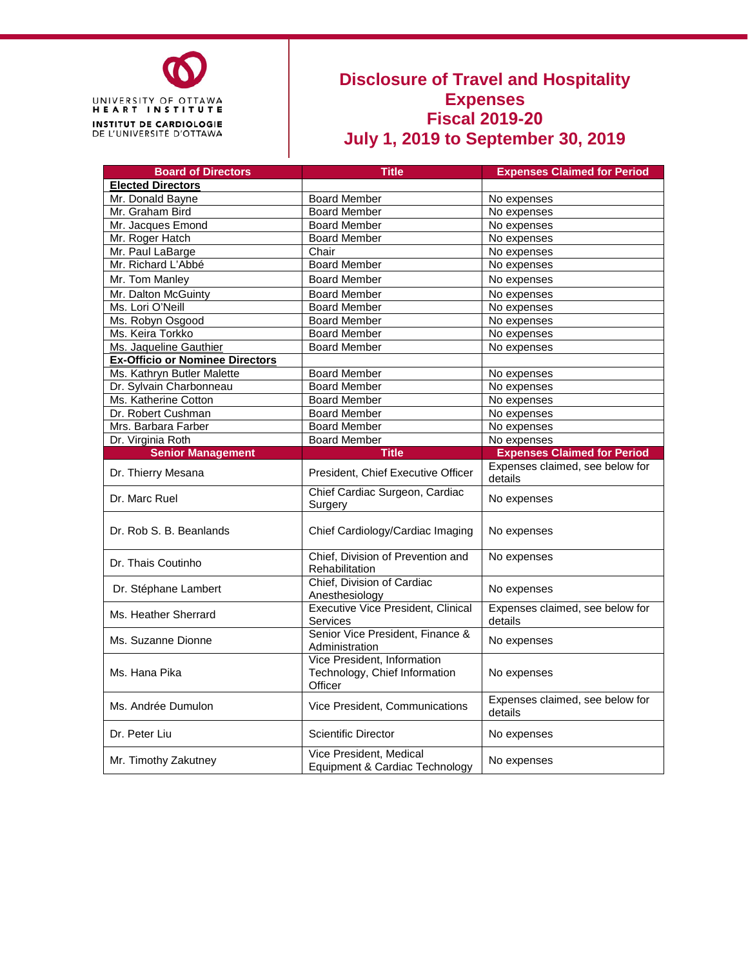

#### **Disclosure of Travel and Hospitality Expenses Fiscal 2019-20 July 1, 2019 to September 30, 2019**

| <b>Board of Directors</b>              | <b>Title</b>                                                            | <b>Expenses Claimed for Period</b>         |  |  |  |
|----------------------------------------|-------------------------------------------------------------------------|--------------------------------------------|--|--|--|
| <b>Elected Directors</b>               |                                                                         |                                            |  |  |  |
| Mr. Donald Bayne                       | <b>Board Member</b>                                                     | No expenses                                |  |  |  |
| Mr. Graham Bird                        | <b>Board Member</b>                                                     | No expenses                                |  |  |  |
| Mr. Jacques Emond                      | <b>Board Member</b>                                                     | No expenses                                |  |  |  |
| Mr. Roger Hatch                        | <b>Board Member</b>                                                     | No expenses                                |  |  |  |
| Mr. Paul LaBarge                       | Chair                                                                   | No expenses                                |  |  |  |
| Mr. Richard L'Abbé                     | <b>Board Member</b>                                                     | No expenses                                |  |  |  |
| Mr. Tom Manley                         | <b>Board Member</b>                                                     | No expenses                                |  |  |  |
| Mr. Dalton McGuinty                    | <b>Board Member</b>                                                     | No expenses                                |  |  |  |
| Ms. Lori O'Neill                       | <b>Board Member</b>                                                     | No expenses                                |  |  |  |
| Ms. Robyn Osgood                       | <b>Board Member</b>                                                     | No expenses                                |  |  |  |
| Ms. Keira Torkko                       | <b>Board Member</b>                                                     | No expenses                                |  |  |  |
| Ms. Jaqueline Gauthier                 | <b>Board Member</b>                                                     | No expenses                                |  |  |  |
| <b>Ex-Officio or Nominee Directors</b> |                                                                         |                                            |  |  |  |
| Ms. Kathryn Butler Malette             | <b>Board Member</b>                                                     | No expenses                                |  |  |  |
| Dr. Sylvain Charbonneau                | <b>Board Member</b>                                                     | No expenses                                |  |  |  |
| Ms. Katherine Cotton                   | <b>Board Member</b>                                                     | No expenses                                |  |  |  |
| Dr. Robert Cushman                     | <b>Board Member</b>                                                     | No expenses                                |  |  |  |
| Mrs. Barbara Farber                    | <b>Board Member</b>                                                     | No expenses                                |  |  |  |
| Dr. Virginia Roth                      | <b>Board Member</b>                                                     | No expenses                                |  |  |  |
| <b>Senior Management</b>               | <b>Title</b>                                                            | <b>Expenses Claimed for Period</b>         |  |  |  |
| Dr. Thierry Mesana                     | President, Chief Executive Officer                                      | Expenses claimed, see below for<br>details |  |  |  |
| Dr. Marc Ruel                          | Chief Cardiac Surgeon, Cardiac<br>Surgery                               | No expenses                                |  |  |  |
| Dr. Rob S. B. Beanlands                | Chief Cardiology/Cardiac Imaging                                        | No expenses                                |  |  |  |
| Dr. Thais Coutinho                     | Chief, Division of Prevention and<br>Rehabilitation                     | No expenses                                |  |  |  |
| Dr. Stéphane Lambert                   | Chief, Division of Cardiac<br>Anesthesiology                            | No expenses                                |  |  |  |
| Ms. Heather Sherrard                   | <b>Executive Vice President, Clinical</b><br><b>Services</b>            | Expenses claimed, see below for<br>details |  |  |  |
| Ms. Suzanne Dionne                     | Senior Vice President, Finance &<br>Administration                      | No expenses                                |  |  |  |
| Ms. Hana Pika                          | Vice President, Information<br>Technology, Chief Information<br>Officer | No expenses                                |  |  |  |
| Ms. Andrée Dumulon                     | Vice President, Communications                                          | Expenses claimed, see below for<br>details |  |  |  |
| Dr. Peter Liu                          | <b>Scientific Director</b>                                              | No expenses                                |  |  |  |
| Mr. Timothy Zakutney                   | Vice President, Medical<br>Equipment & Cardiac Technology               | No expenses                                |  |  |  |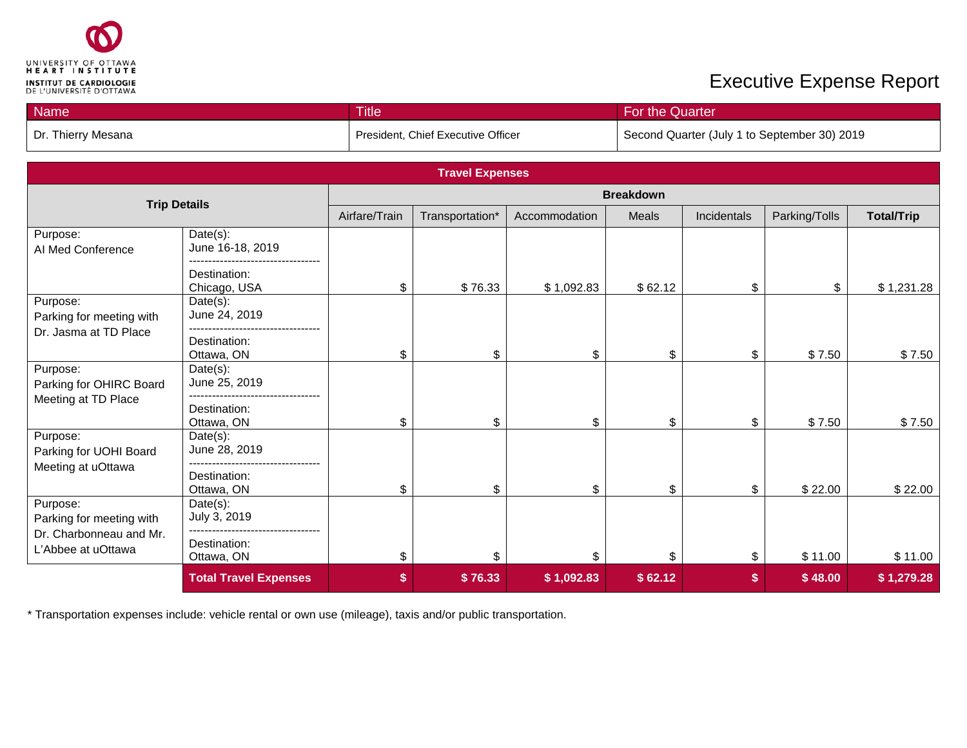

| <b>Name</b>        | <b>Title</b>                       | For the Quarter                              |
|--------------------|------------------------------------|----------------------------------------------|
| Dr. Thierry Mesana | President, Chief Executive Officer | Second Quarter (July 1 to September 30) 2019 |

| <b>Travel Expenses</b>                        |                              |                  |                 |               |         |             |               |                   |
|-----------------------------------------------|------------------------------|------------------|-----------------|---------------|---------|-------------|---------------|-------------------|
| <b>Trip Details</b>                           |                              | <b>Breakdown</b> |                 |               |         |             |               |                   |
|                                               |                              | Airfare/Train    | Transportation* | Accommodation | Meals   | Incidentals | Parking/Tolls | <b>Total/Trip</b> |
| Purpose:<br>AI Med Conference                 | Date(s):<br>June 16-18, 2019 |                  |                 |               |         |             |               |                   |
|                                               | Destination:<br>Chicago, USA | \$               | \$76.33         | \$1,092.83    | \$62.12 | \$          | \$            | \$1,231.28        |
| Purpose:<br>Parking for meeting with          | $Date(s)$ :<br>June 24, 2019 |                  |                 |               |         |             |               |                   |
| Dr. Jasma at TD Place                         | Destination:<br>Ottawa, ON   | \$               | \$              | \$            | \$      | \$          | \$7.50        | \$7.50            |
| Purpose:<br>Parking for OHIRC Board           | Date(s):<br>June 25, 2019    |                  |                 |               |         |             |               |                   |
| Meeting at TD Place                           | Destination:<br>Ottawa, ON   | \$               | \$              | \$            | \$      | \$          | \$7.50        | \$7.50            |
| Purpose:<br>Parking for UOHI Board            | Date(s):<br>June 28, 2019    |                  |                 |               |         |             |               |                   |
| Meeting at uOttawa                            | Destination:<br>Ottawa, ON   | \$               | \$              | \$            | \$      | \$          | \$22.00       | \$22.00           |
| Purpose:<br>Parking for meeting with          | Date(s):<br>July 3, 2019     |                  |                 |               |         |             |               |                   |
| Dr. Charbonneau and Mr.<br>L'Abbee at uOttawa | Destination:<br>Ottawa, ON   | \$               | \$              | \$            | \$.     | \$          | \$11.00       | \$11.00           |
|                                               | <b>Total Travel Expenses</b> | \$               | \$76.33         | \$1,092.83    | \$62.12 |             | \$48.00       | \$1,279.28        |

\* Transportation expenses include: vehicle rental or own use (mileage), taxis and/or public transportation.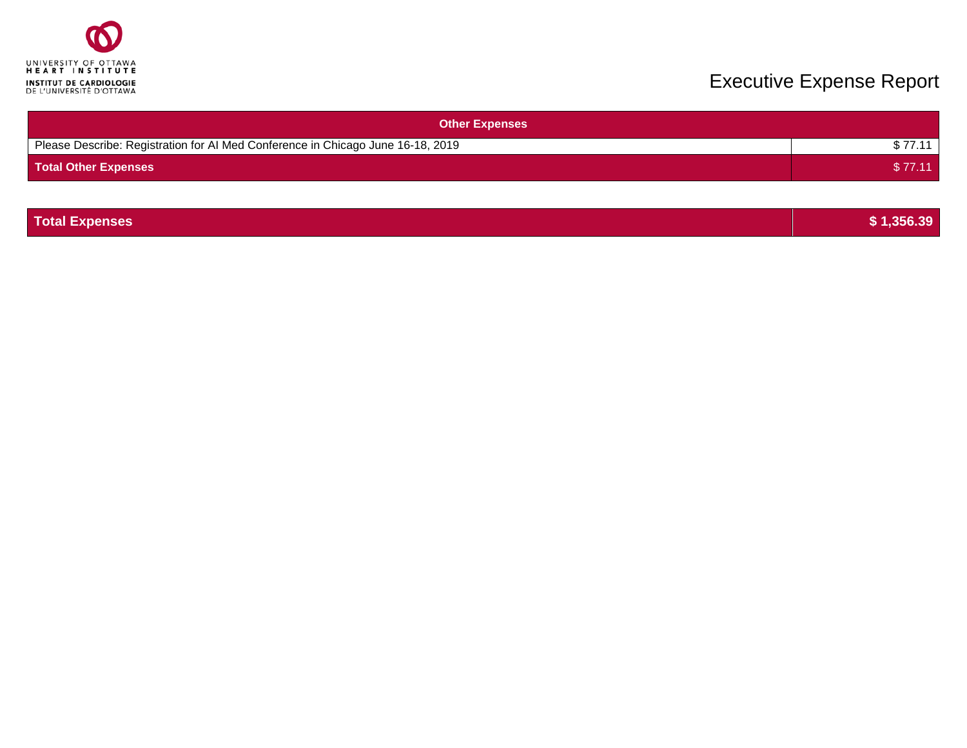

| <b>Other Expenses</b>                                                           |         |
|---------------------------------------------------------------------------------|---------|
| Please Describe: Registration for AI Med Conference in Chicago June 16-18, 2019 |         |
| <b>Total Other Expenses</b>                                                     | \$77.11 |

| <b>Total Expenses</b> | \$1,356.39 |
|-----------------------|------------|
|                       |            |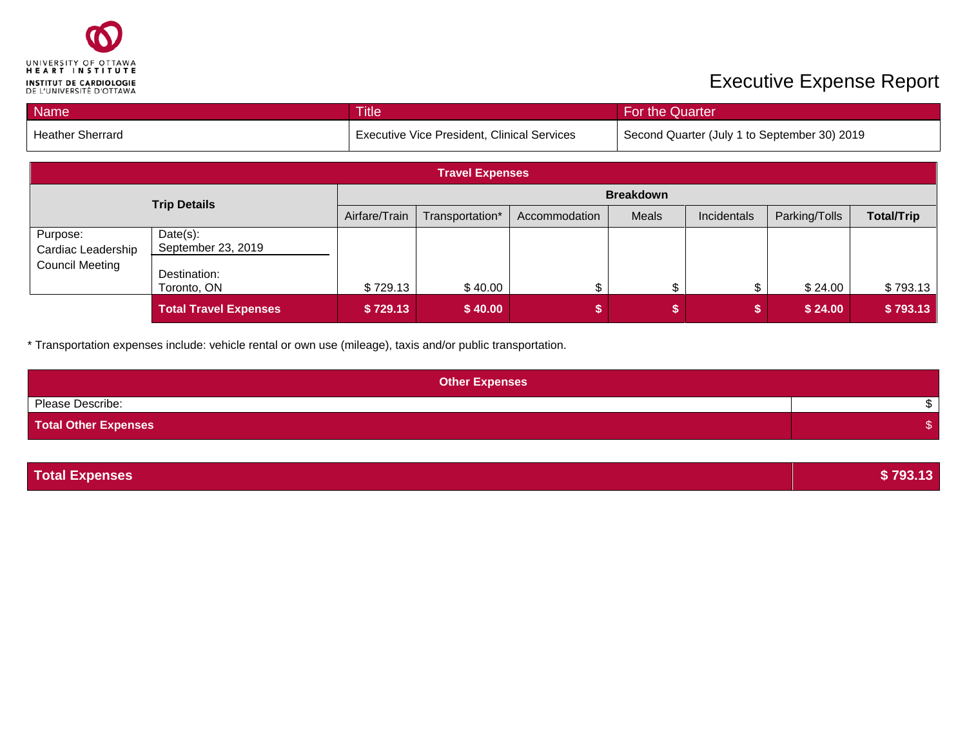

| <b>Name</b>             | <b>Title</b>                                       | For the Quarter                              |
|-------------------------|----------------------------------------------------|----------------------------------------------|
| <b>Heather Sherrard</b> | <b>Executive Vice President, Clinical Services</b> | Second Quarter (July 1 to September 30) 2019 |

| <b>Travel Expenses</b>         |                                |               |                  |               |       |             |               |                   |
|--------------------------------|--------------------------------|---------------|------------------|---------------|-------|-------------|---------------|-------------------|
| <b>Trip Details</b>            |                                |               | <b>Breakdown</b> |               |       |             |               |                   |
|                                |                                | Airfare/Train | Transportation*  | Accommodation | Meals | Incidentals | Parking/Tolls | <b>Total/Trip</b> |
| Purpose:<br>Cardiac Leadership | Date(s):<br>September 23, 2019 |               |                  |               |       |             |               |                   |
| <b>Council Meeting</b>         | Destination:<br>Toronto, ON    | \$729.13      | \$40.00          |               |       |             | \$24.00       | \$793.13          |
|                                | <b>Total Travel Expenses</b>   | \$729.13      | \$40.00          |               |       |             | \$24.00       | \$793.13          |

\* Transportation expenses include: vehicle rental or own use (mileage), taxis and/or public transportation.

| <b>Other Expenses</b>       |  |
|-----------------------------|--|
| Please Describe:            |  |
| <b>Total Other Expenses</b> |  |

| \$793.13 |
|----------|
|          |